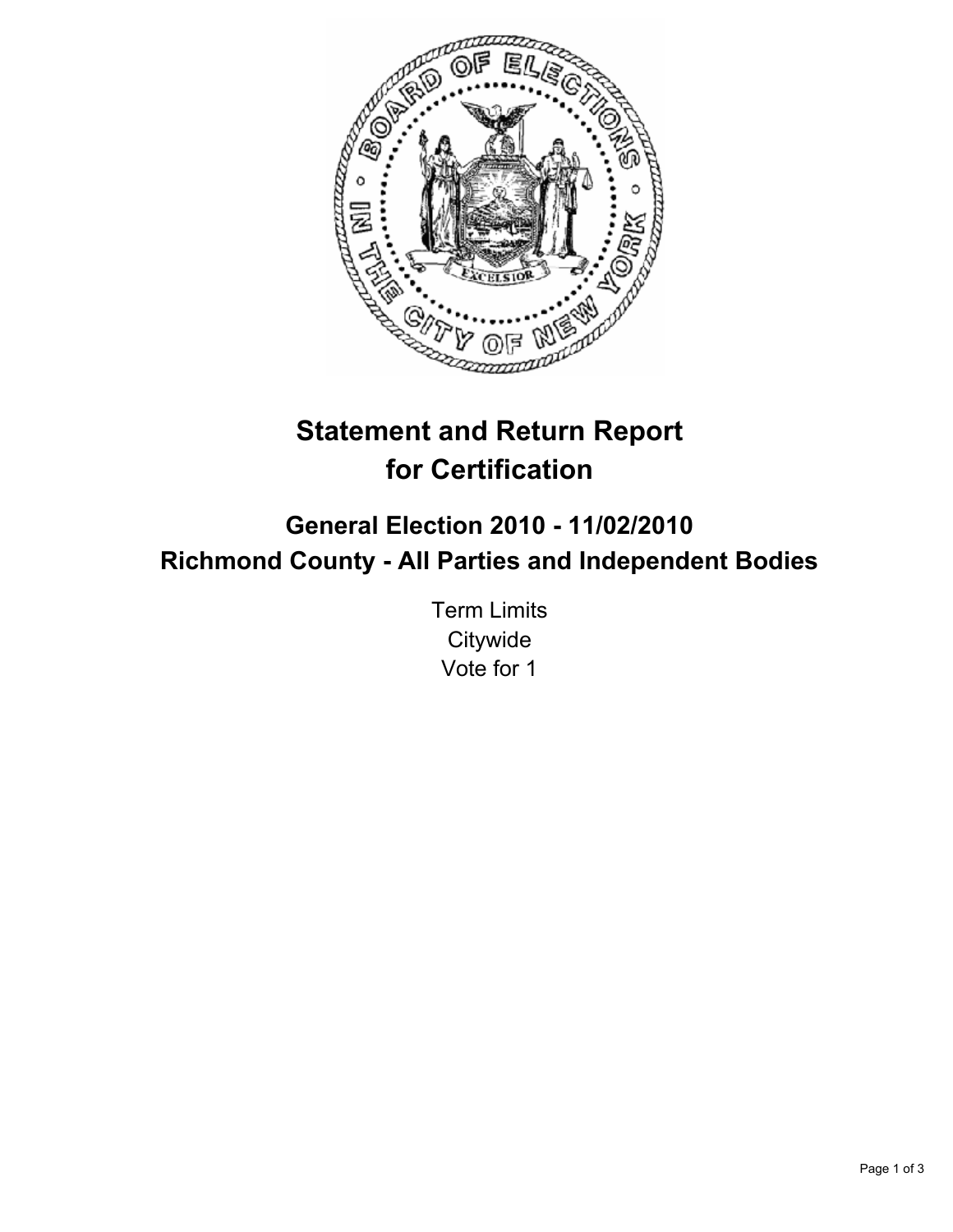

# **Statement and Return Report for Certification**

## **General Election 2010 - 11/02/2010 Richmond County - All Parties and Independent Bodies**

Term Limits **Citywide** Vote for 1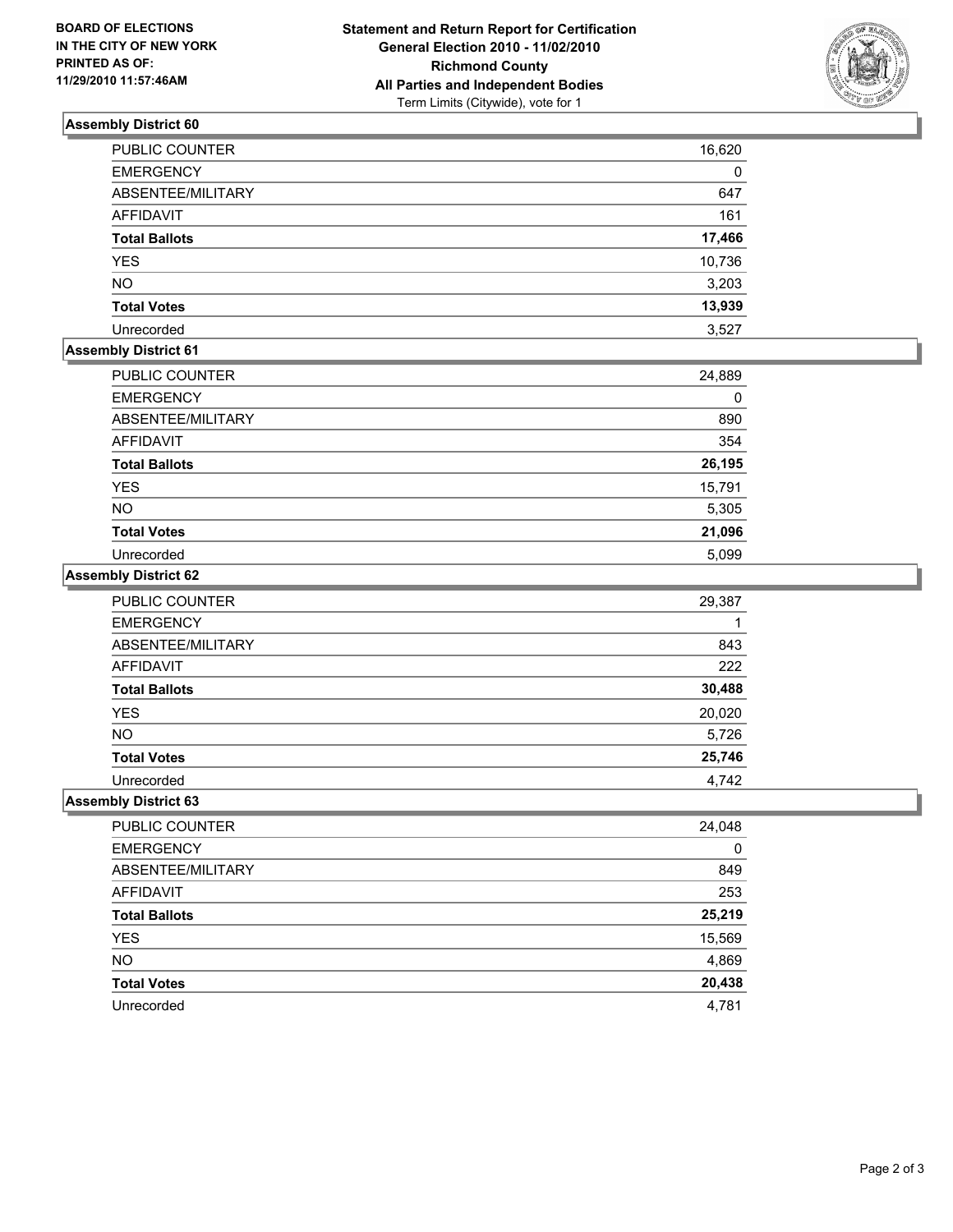

## **Assembly District 60**

| <b>PUBLIC COUNTER</b> | 16,620 |
|-----------------------|--------|
| <b>EMERGENCY</b>      | 0      |
| ABSENTEE/MILITARY     | 647    |
| <b>AFFIDAVIT</b>      | 161    |
| <b>Total Ballots</b>  | 17,466 |
| <b>YES</b>            | 10,736 |
| <b>NO</b>             | 3,203  |
| <b>Total Votes</b>    | 13,939 |
| Unrecorded            | 3,527  |

## **Assembly District 61**

| PUBLIC COUNTER       | 24,889 |
|----------------------|--------|
| <b>EMERGENCY</b>     | 0      |
| ABSENTEE/MILITARY    | 890    |
| <b>AFFIDAVIT</b>     | 354    |
| <b>Total Ballots</b> | 26,195 |
| <b>YES</b>           | 15,791 |
| <b>NO</b>            | 5,305  |
| <b>Total Votes</b>   | 21,096 |
| Unrecorded           | 5.099  |

#### **Assembly District 62**

| PUBLIC COUNTER       | 29,387 |
|----------------------|--------|
| <b>EMERGENCY</b>     |        |
| ABSENTEE/MILITARY    | 843    |
| <b>AFFIDAVIT</b>     | 222    |
| <b>Total Ballots</b> | 30,488 |
| <b>YES</b>           | 20,020 |
| <b>NO</b>            | 5,726  |
| <b>Total Votes</b>   | 25,746 |
| Unrecorded           | 4.742  |

### **Assembly District 63**

| PUBLIC COUNTER       | 24,048 |
|----------------------|--------|
| <b>EMERGENCY</b>     | 0      |
| ABSENTEE/MILITARY    | 849    |
| AFFIDAVIT            | 253    |
| <b>Total Ballots</b> | 25,219 |
| <b>YES</b>           | 15,569 |
| <b>NO</b>            | 4,869  |
| <b>Total Votes</b>   | 20,438 |
| Unrecorded           | 4,781  |